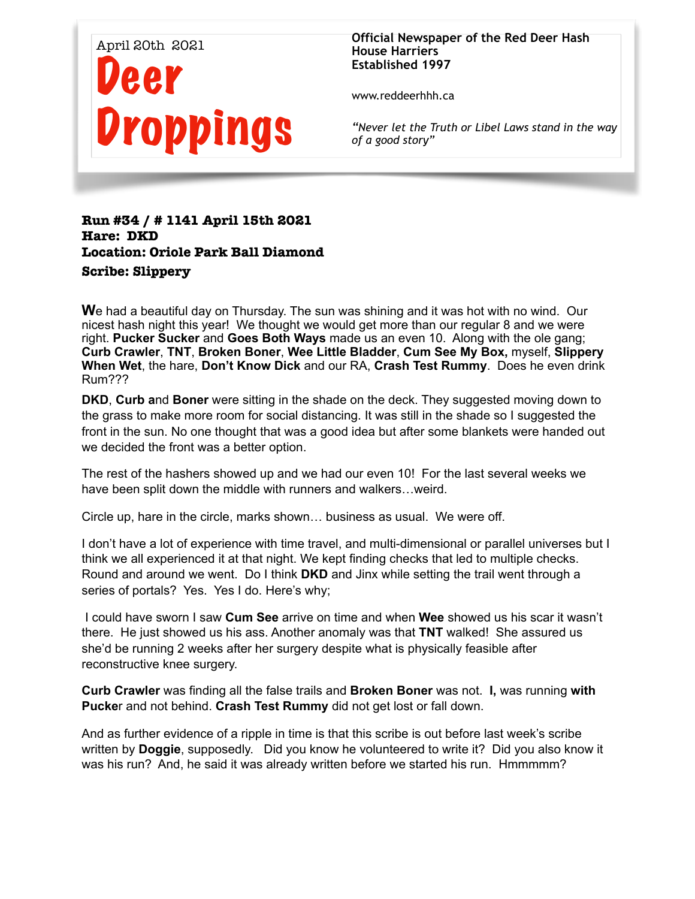

**Official Newspaper of the Red Deer Hash House Harriers Established 1997** 

www.reddeerhhh.ca

*"Never let the Truth or Libel Laws stand in the way of a good story"*

## **Run #34 / # 1141 April 15th 2021 Hare: DKD Location: Oriole Park Ball Diamond Scribe: Slippery**

**W**e had a beautiful day on Thursday. The sun was shining and it was hot with no wind. Our nicest hash night this year! We thought we would get more than our regular 8 and we were right. **Pucker Sucker** and **Goes Both Ways** made us an even 10. Along with the ole gang; **Curb Crawler**, **TNT**, **Broken Boner**, **Wee Little Bladder**, **Cum See My Box,** myself, **Slippery When Wet**, the hare, **Don't Know Dick** and our RA, **Crash Test Rummy**. Does he even drink Rum???

**DKD**, **Curb a**nd **Boner** were sitting in the shade on the deck. They suggested moving down to the grass to make more room for social distancing. It was still in the shade so I suggested the front in the sun. No one thought that was a good idea but after some blankets were handed out we decided the front was a better option.

The rest of the hashers showed up and we had our even 10! For the last several weeks we have been split down the middle with runners and walkers…weird.

Circle up, hare in the circle, marks shown… business as usual. We were off.

I don't have a lot of experience with time travel, and multi-dimensional or parallel universes but I think we all experienced it at that night. We kept finding checks that led to multiple checks. Round and around we went. Do I think **DKD** and Jinx while setting the trail went through a series of portals? Yes. Yes I do. Here's why;

 I could have sworn I saw **Cum See** arrive on time and when **Wee** showed us his scar it wasn't there. He just showed us his ass. Another anomaly was that **TNT** walked! She assured us she'd be running 2 weeks after her surgery despite what is physically feasible after reconstructive knee surgery.

**Curb Crawler** was finding all the false trails and **Broken Boner** was not. **I,** was running **with Pucke**r and not behind. **Crash Test Rummy** did not get lost or fall down.

And as further evidence of a ripple in time is that this scribe is out before last week's scribe written by **Doggie**, supposedly. Did you know he volunteered to write it? Did you also know it was his run? And, he said it was already written before we started his run. Hmmmmm?